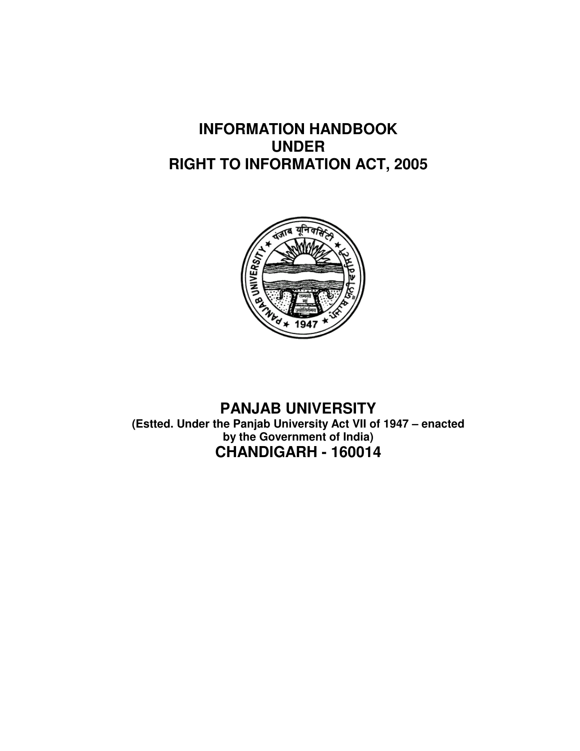# **INFORMATION HANDBOOK UNDER RIGHT TO INFORMATION ACT, 2005**



**PANJAB UNIVERSITY (Estted. Under the Panjab University Act VII of 1947 – enacted by the Government of India) CHANDIGARH - 160014**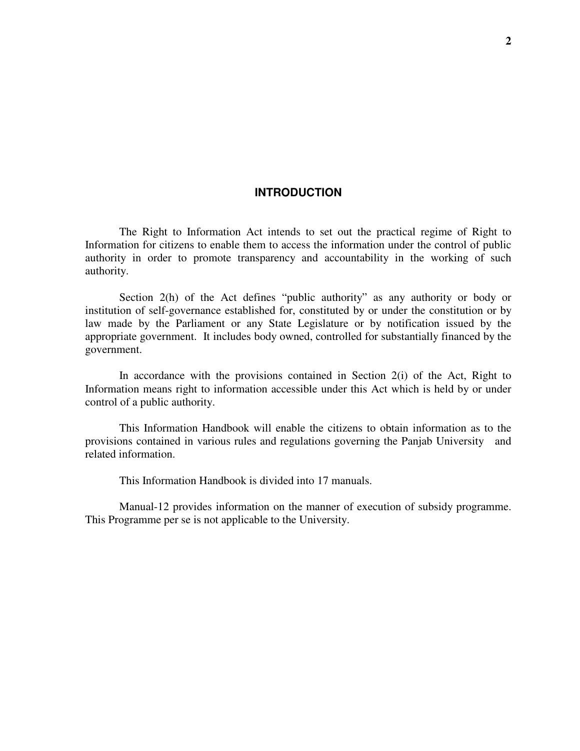# **INTRODUCTION**

 The Right to Information Act intends to set out the practical regime of Right to Information for citizens to enable them to access the information under the control of public authority in order to promote transparency and accountability in the working of such authority.

Section 2(h) of the Act defines "public authority" as any authority or body or institution of self-governance established for, constituted by or under the constitution or by law made by the Parliament or any State Legislature or by notification issued by the appropriate government. It includes body owned, controlled for substantially financed by the government.

 In accordance with the provisions contained in Section 2(i) of the Act, Right to Information means right to information accessible under this Act which is held by or under control of a public authority.

 This Information Handbook will enable the citizens to obtain information as to the provisions contained in various rules and regulations governing the Panjab University and related information.

This Information Handbook is divided into 17 manuals.

 Manual-12 provides information on the manner of execution of subsidy programme. This Programme per se is not applicable to the University.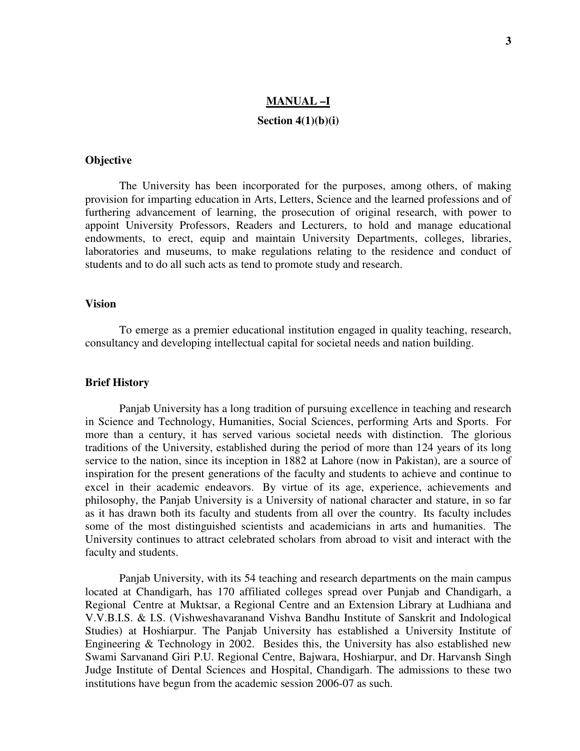# **MANUAL –I**

# **Section 4(1)(b)(i)**

#### **Objective**

 The University has been incorporated for the purposes, among others, of making provision for imparting education in Arts, Letters, Science and the learned professions and of furthering advancement of learning, the prosecution of original research, with power to appoint University Professors, Readers and Lecturers, to hold and manage educational endowments, to erect, equip and maintain University Departments, colleges, libraries, laboratories and museums, to make regulations relating to the residence and conduct of students and to do all such acts as tend to promote study and research.

# **Vision**

To emerge as a premier educational institution engaged in quality teaching, research, consultancy and developing intellectual capital for societal needs and nation building.

### **Brief History**

Panjab University has a long tradition of pursuing excellence in teaching and research in Science and Technology, Humanities, Social Sciences, performing Arts and Sports. For more than a century, it has served various societal needs with distinction. The glorious traditions of the University, established during the period of more than 124 years of its long service to the nation, since its inception in 1882 at Lahore (now in Pakistan), are a source of inspiration for the present generations of the faculty and students to achieve and continue to excel in their academic endeavors. By virtue of its age, experience, achievements and philosophy, the Panjab University is a University of national character and stature, in so far as it has drawn both its faculty and students from all over the country. Its faculty includes some of the most distinguished scientists and academicians in arts and humanities. The University continues to attract celebrated scholars from abroad to visit and interact with the faculty and students.

Panjab University, with its 54 teaching and research departments on the main campus located at Chandigarh, has 170 affiliated colleges spread over Punjab and Chandigarh, a Regional Centre at Muktsar, a Regional Centre and an Extension Library at Ludhiana and V.V.B.I.S. & I.S. (Vishweshavaranand Vishva Bandhu Institute of Sanskrit and Indological Studies) at Hoshiarpur. The Panjab University has established a University Institute of Engineering & Technology in 2002. Besides this, the University has also established new Swami Sarvanand Giri P.U. Regional Centre, Bajwara, Hoshiarpur, and Dr. Harvansh Singh Judge Institute of Dental Sciences and Hospital, Chandigarh. The admissions to these two institutions have begun from the academic session 2006-07 as such.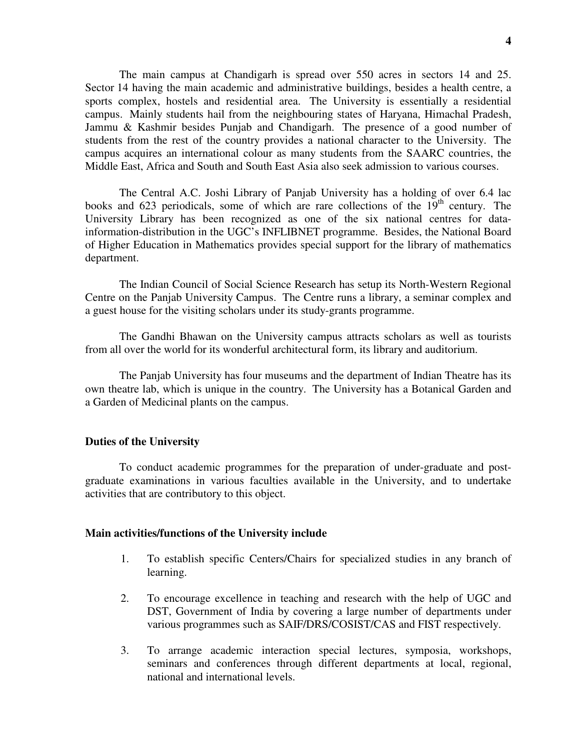The main campus at Chandigarh is spread over 550 acres in sectors 14 and 25. Sector 14 having the main academic and administrative buildings, besides a health centre, a sports complex, hostels and residential area. The University is essentially a residential campus. Mainly students hail from the neighbouring states of Haryana, Himachal Pradesh, Jammu & Kashmir besides Punjab and Chandigarh. The presence of a good number of students from the rest of the country provides a national character to the University. The campus acquires an international colour as many students from the SAARC countries, the Middle East, Africa and South and South East Asia also seek admission to various courses.

The Central A.C. Joshi Library of Panjab University has a holding of over 6.4 lac books and 623 periodicals, some of which are rare collections of the  $19<sup>th</sup>$  century. The University Library has been recognized as one of the six national centres for datainformation-distribution in the UGC's INFLIBNET programme. Besides, the National Board of Higher Education in Mathematics provides special support for the library of mathematics department.

The Indian Council of Social Science Research has setup its North-Western Regional Centre on the Panjab University Campus. The Centre runs a library, a seminar complex and a guest house for the visiting scholars under its study-grants programme.

The Gandhi Bhawan on the University campus attracts scholars as well as tourists from all over the world for its wonderful architectural form, its library and auditorium.

The Panjab University has four museums and the department of Indian Theatre has its own theatre lab, which is unique in the country. The University has a Botanical Garden and a Garden of Medicinal plants on the campus.

### **Duties of the University**

 To conduct academic programmes for the preparation of under-graduate and postgraduate examinations in various faculties available in the University, and to undertake activities that are contributory to this object.

### **Main activities/functions of the University include**

- 1. To establish specific Centers/Chairs for specialized studies in any branch of learning.
- 2. To encourage excellence in teaching and research with the help of UGC and DST, Government of India by covering a large number of departments under various programmes such as SAIF/DRS/COSIST/CAS and FIST respectively.
- 3. To arrange academic interaction special lectures, symposia, workshops, seminars and conferences through different departments at local, regional, national and international levels.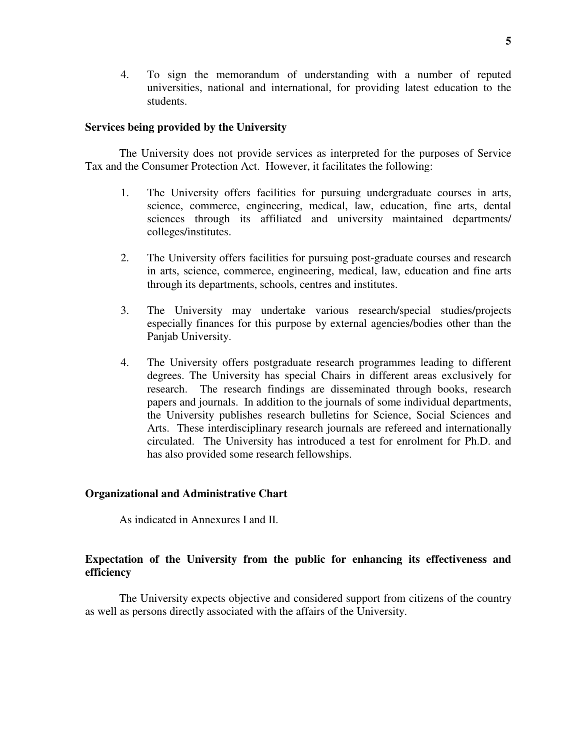4. To sign the memorandum of understanding with a number of reputed universities, national and international, for providing latest education to the students.

# **Services being provided by the University**

 The University does not provide services as interpreted for the purposes of Service Tax and the Consumer Protection Act. However, it facilitates the following:

- 1. The University offers facilities for pursuing undergraduate courses in arts, science, commerce, engineering, medical, law, education, fine arts, dental sciences through its affiliated and university maintained departments/ colleges/institutes.
- 2. The University offers facilities for pursuing post-graduate courses and research in arts, science, commerce, engineering, medical, law, education and fine arts through its departments, schools, centres and institutes.
- 3. The University may undertake various research/special studies/projects especially finances for this purpose by external agencies/bodies other than the Panjab University.
- 4. The University offers postgraduate research programmes leading to different degrees. The University has special Chairs in different areas exclusively for research. The research findings are disseminated through books, research papers and journals. In addition to the journals of some individual departments, the University publishes research bulletins for Science, Social Sciences and Arts. These interdisciplinary research journals are refereed and internationally circulated. The University has introduced a test for enrolment for Ph.D. and has also provided some research fellowships.

# **Organizational and Administrative Chart**

As indicated in Annexures I and II.

# **Expectation of the University from the public for enhancing its effectiveness and efficiency**

 The University expects objective and considered support from citizens of the country as well as persons directly associated with the affairs of the University.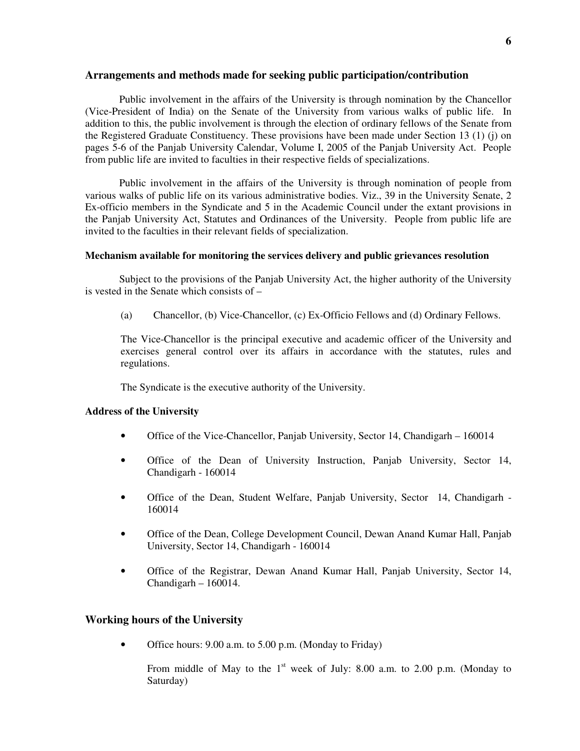#### **Arrangements and methods made for seeking public participation/contribution**

Public involvement in the affairs of the University is through nomination by the Chancellor (Vice-President of India) on the Senate of the University from various walks of public life. In addition to this, the public involvement is through the election of ordinary fellows of the Senate from the Registered Graduate Constituency. These provisions have been made under Section 13 (1) (j) on pages 5-6 of the Panjab University Calendar, Volume I, 2005 of the Panjab University Act. People from public life are invited to faculties in their respective fields of specializations.

 Public involvement in the affairs of the University is through nomination of people from various walks of public life on its various administrative bodies. Viz., 39 in the University Senate, 2 Ex-officio members in the Syndicate and 5 in the Academic Council under the extant provisions in the Panjab University Act, Statutes and Ordinances of the University. People from public life are invited to the faculties in their relevant fields of specialization.

#### **Mechanism available for monitoring the services delivery and public grievances resolution**

Subject to the provisions of the Panjab University Act, the higher authority of the University is vested in the Senate which consists of –

(a) Chancellor, (b) Vice-Chancellor, (c) Ex-Officio Fellows and (d) Ordinary Fellows.

The Vice-Chancellor is the principal executive and academic officer of the University and exercises general control over its affairs in accordance with the statutes, rules and regulations.

The Syndicate is the executive authority of the University.

#### **Address of the University**

- Office of the Vice-Chancellor, Panjab University, Sector 14, Chandigarh 160014
- Office of the Dean of University Instruction, Panjab University, Sector 14, Chandigarh - 160014
- Office of the Dean, Student Welfare, Panjab University, Sector 14, Chandigarh -160014
- Office of the Dean, College Development Council, Dewan Anand Kumar Hall, Panjab University, Sector 14, Chandigarh - 160014
- Office of the Registrar, Dewan Anand Kumar Hall, Panjab University, Sector 14, Chandigarh – 160014.

# **Working hours of the University**

• Office hours: 9.00 a.m. to 5.00 p.m. (Monday to Friday)

From middle of May to the  $1<sup>st</sup>$  week of July: 8.00 a.m. to 2.00 p.m. (Monday to Saturday)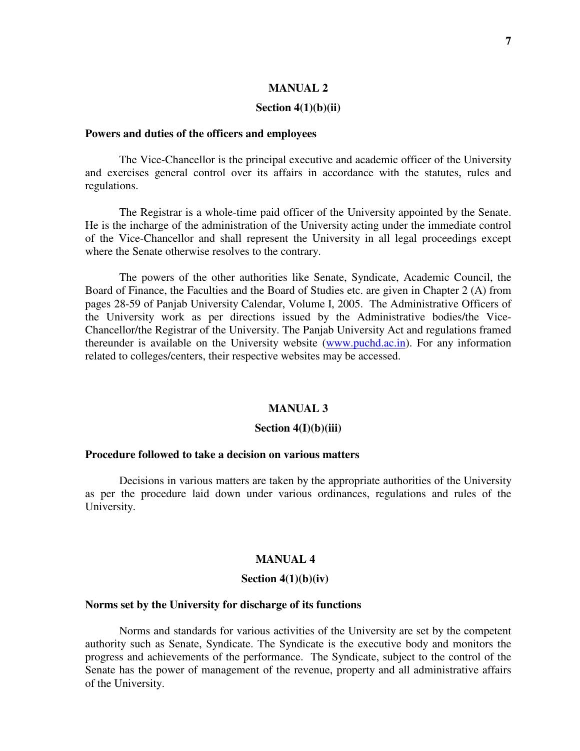#### **Section 4(1)(b)(ii)**

#### **Powers and duties of the officers and employees**

 The Vice-Chancellor is the principal executive and academic officer of the University and exercises general control over its affairs in accordance with the statutes, rules and regulations.

 The Registrar is a whole-time paid officer of the University appointed by the Senate. He is the incharge of the administration of the University acting under the immediate control of the Vice-Chancellor and shall represent the University in all legal proceedings except where the Senate otherwise resolves to the contrary.

 The powers of the other authorities like Senate, Syndicate, Academic Council, the Board of Finance, the Faculties and the Board of Studies etc. are given in Chapter 2 (A) from pages 28-59 of Panjab University Calendar, Volume I, 2005. The Administrative Officers of the University work as per directions issued by the Administrative bodies/the Vice-Chancellor/the Registrar of the University. The Panjab University Act and regulations framed thereunder is available on the University website (www.puchd.ac.in). For any information related to colleges/centers, their respective websites may be accessed.

# **MANUAL 3**

#### **Section 4(I)(b)(iii)**

# **Procedure followed to take a decision on various matters**

 Decisions in various matters are taken by the appropriate authorities of the University as per the procedure laid down under various ordinances, regulations and rules of the University.

#### **MANUAL 4**

### **Section 4(1)(b)(iv)**

#### **Norms set by the University for discharge of its functions**

 Norms and standards for various activities of the University are set by the competent authority such as Senate, Syndicate. The Syndicate is the executive body and monitors the progress and achievements of the performance. The Syndicate, subject to the control of the Senate has the power of management of the revenue, property and all administrative affairs of the University.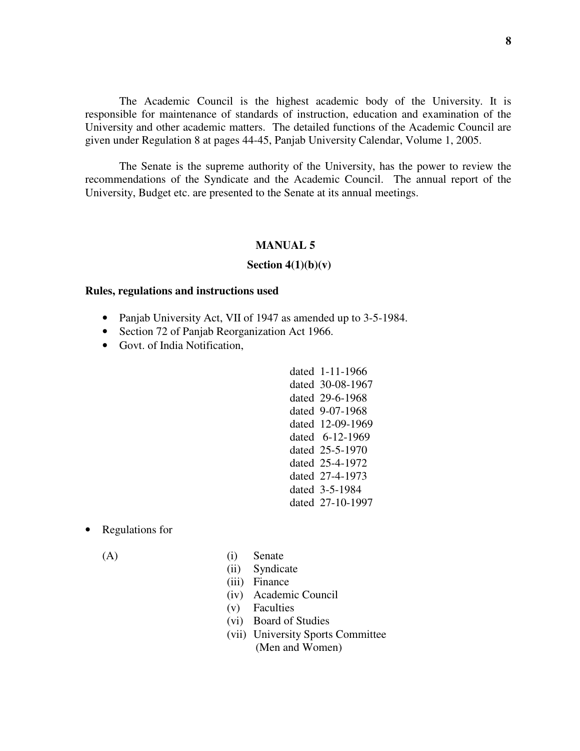The Academic Council is the highest academic body of the University. It is responsible for maintenance of standards of instruction, education and examination of the University and other academic matters. The detailed functions of the Academic Council are given under Regulation 8 at pages 44-45, Panjab University Calendar, Volume 1, 2005.

The Senate is the supreme authority of the University, has the power to review the recommendations of the Syndicate and the Academic Council. The annual report of the University, Budget etc. are presented to the Senate at its annual meetings.

### **MANUAL 5**

#### **Section 4(1)(b)(v)**

#### **Rules, regulations and instructions used**

- Panjab University Act, VII of 1947 as amended up to 3-5-1984.
- Section 72 of Panjab Reorganization Act 1966.
- Govt. of India Notification,

dated 1-11-1966 dated 30-08-1967 dated 29-6-1968 dated 9-07-1968 dated 12-09-1969 dated 6-12-1969 dated 25-5-1970 dated 25-4-1972 dated 27-4-1973 dated 3-5-1984 dated 27-10-1997

• Regulations for

- (A) (i) Senate
	- (ii) Syndicate
	- (iii) Finance
	- (iv) Academic Council
	- (v) Faculties
	- (vi) Board of Studies
	- (vii) University Sports Committee (Men and Women)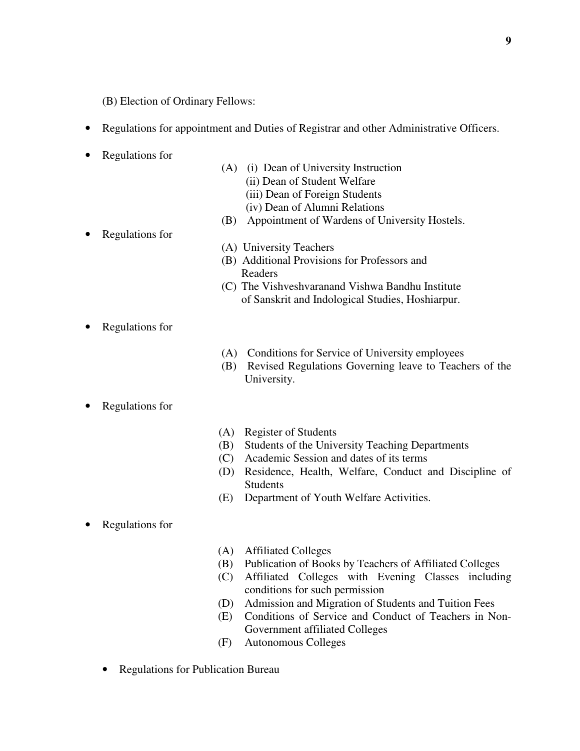(B) Election of Ordinary Fellows:

- Regulations for appointment and Duties of Registrar and other Administrative Officers.
- Regulations for
- (A) (i) Dean of University Instruction
	- (ii) Dean of Student Welfare
	- (iii) Dean of Foreign Students
	- (iv) Dean of Alumni Relations
- (B) Appointment of Wardens of University Hostels.
- Regulations for
- (A) University Teachers
- (B) Additional Provisions for Professors and Readers
- (C) The Vishveshvaranand Vishwa Bandhu Institute of Sanskrit and Indological Studies, Hoshiarpur.
- Regulations for
- (A) Conditions for Service of University employees
- (B) Revised Regulations Governing leave to Teachers of the University.
- Regulations for
- (A) Register of Students
- (B) Students of the University Teaching Departments
- (C) Academic Session and dates of its terms
- (D) Residence, Health, Welfare, Conduct and Discipline of Students
- (E) Department of Youth Welfare Activities.
- Regulations for
- (A) Affiliated Colleges
- (B) Publication of Books by Teachers of Affiliated Colleges
- (C) Affiliated Colleges with Evening Classes including conditions for such permission
- (D) Admission and Migration of Students and Tuition Fees
- (E) Conditions of Service and Conduct of Teachers in Non-Government affiliated Colleges
- (F) Autonomous Colleges
- Regulations for Publication Bureau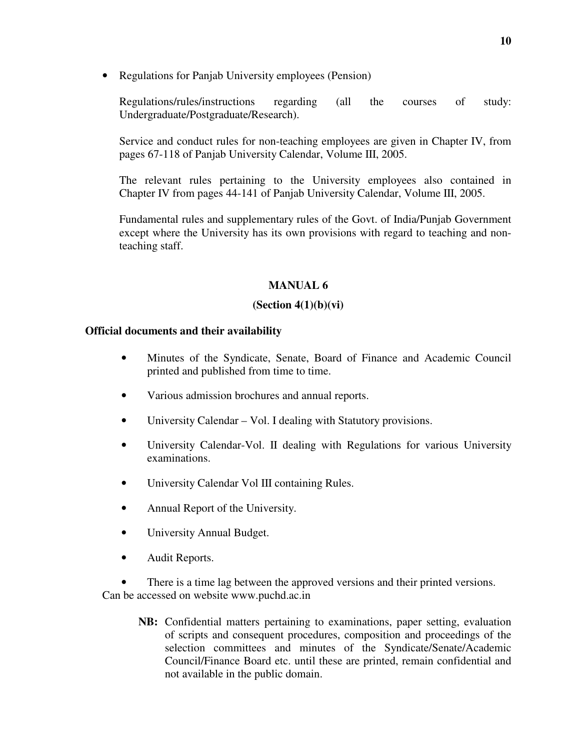• Regulations for Panjab University employees (Pension)

Regulations/rules/instructions regarding (all the courses of study: Undergraduate/Postgraduate/Research).

Service and conduct rules for non-teaching employees are given in Chapter IV, from pages 67-118 of Panjab University Calendar, Volume III, 2005.

The relevant rules pertaining to the University employees also contained in Chapter IV from pages 44-141 of Panjab University Calendar, Volume III, 2005.

Fundamental rules and supplementary rules of the Govt. of India/Punjab Government except where the University has its own provisions with regard to teaching and nonteaching staff.

# **MANUAL 6**

# **(Section 4(1)(b)(vi)**

# **Official documents and their availability**

- Minutes of the Syndicate, Senate, Board of Finance and Academic Council printed and published from time to time.
- Various admission brochures and annual reports.
- University Calendar Vol. I dealing with Statutory provisions.
- University Calendar-Vol. II dealing with Regulations for various University examinations.
- University Calendar Vol III containing Rules.
- Annual Report of the University.
- University Annual Budget.
- Audit Reports.

There is a time lag between the approved versions and their printed versions. Can be accessed on website www.puchd.ac.in

**NB:** Confidential matters pertaining to examinations, paper setting, evaluation of scripts and consequent procedures, composition and proceedings of the selection committees and minutes of the Syndicate/Senate/Academic Council/Finance Board etc. until these are printed, remain confidential and not available in the public domain.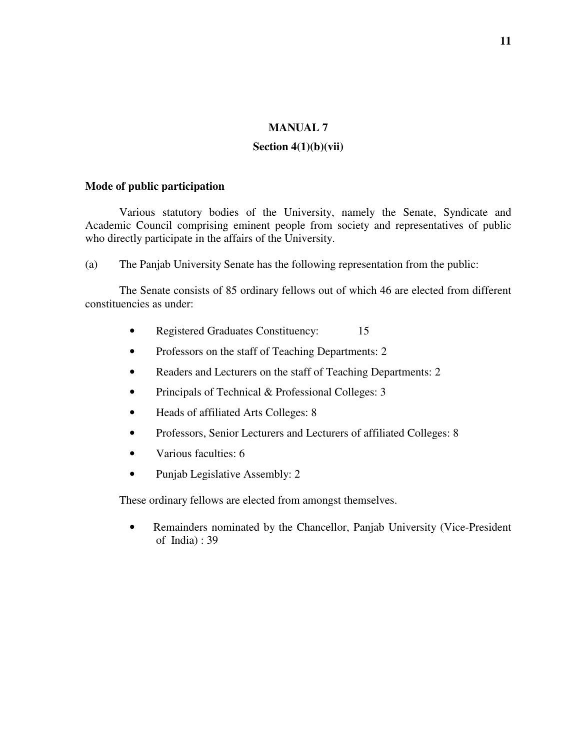### **Section 4(1)(b)(vii)**

### **Mode of public participation**

 Various statutory bodies of the University, namely the Senate, Syndicate and Academic Council comprising eminent people from society and representatives of public who directly participate in the affairs of the University.

(a) The Panjab University Senate has the following representation from the public:

 The Senate consists of 85 ordinary fellows out of which 46 are elected from different constituencies as under:

- Registered Graduates Constituency: 15
- Professors on the staff of Teaching Departments: 2
- Readers and Lecturers on the staff of Teaching Departments: 2
- Principals of Technical & Professional Colleges: 3
- Heads of affiliated Arts Colleges: 8
- Professors, Senior Lecturers and Lecturers of affiliated Colleges: 8
- Various faculties: 6
- Punjab Legislative Assembly: 2

These ordinary fellows are elected from amongst themselves.

• Remainders nominated by the Chancellor, Panjab University (Vice-President of India) : 39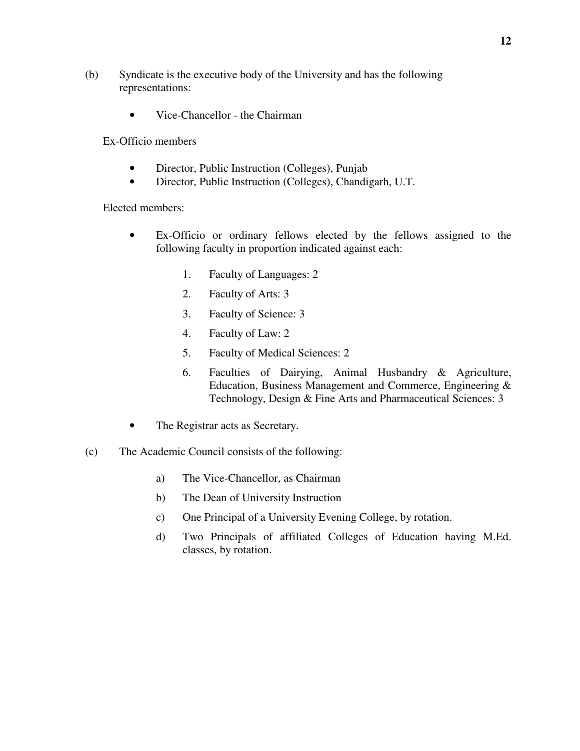- (b) Syndicate is the executive body of the University and has the following representations:
	- Vice-Chancellor the Chairman

Ex-Officio members

- Director, Public Instruction (Colleges), Punjab
- Director, Public Instruction (Colleges), Chandigarh, U.T.

Elected members:

- Ex-Officio or ordinary fellows elected by the fellows assigned to the following faculty in proportion indicated against each:
	- 1. Faculty of Languages: 2
	- 2. Faculty of Arts: 3
	- 3. Faculty of Science: 3
	- 4. Faculty of Law: 2
	- 5. Faculty of Medical Sciences: 2
	- 6. Faculties of Dairying, Animal Husbandry & Agriculture, Education, Business Management and Commerce, Engineering & Technology, Design & Fine Arts and Pharmaceutical Sciences: 3
- The Registrar acts as Secretary.
- (c) The Academic Council consists of the following:
	- a) The Vice-Chancellor, as Chairman
	- b) The Dean of University Instruction
	- c) One Principal of a University Evening College, by rotation.
	- d) Two Principals of affiliated Colleges of Education having M.Ed. classes, by rotation.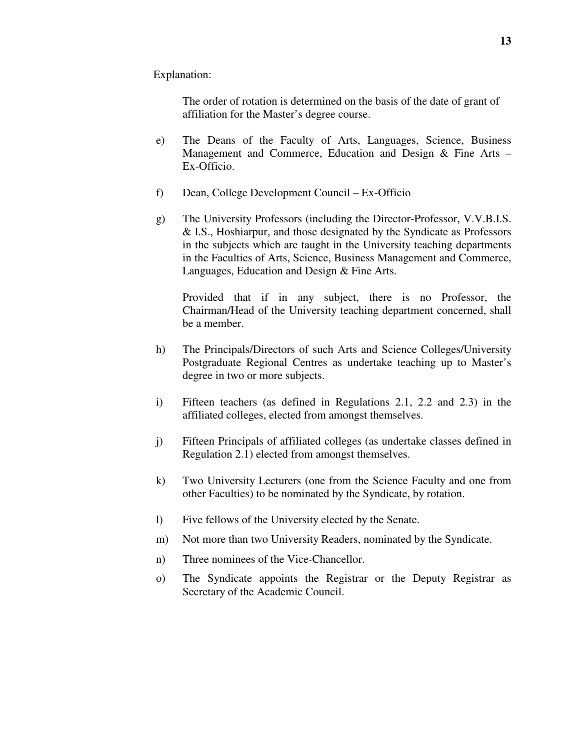Explanation:

The order of rotation is determined on the basis of the date of grant of affiliation for the Master's degree course.

- e) The Deans of the Faculty of Arts, Languages, Science, Business Management and Commerce, Education and Design & Fine Arts – Ex-Officio.
- f) Dean, College Development Council Ex-Officio
- g) The University Professors (including the Director-Professor, V.V.B.I.S. & I.S., Hoshiarpur, and those designated by the Syndicate as Professors in the subjects which are taught in the University teaching departments in the Faculties of Arts, Science, Business Management and Commerce, Languages, Education and Design & Fine Arts.

Provided that if in any subject, there is no Professor, the Chairman/Head of the University teaching department concerned, shall be a member.

- h) The Principals/Directors of such Arts and Science Colleges/University Postgraduate Regional Centres as undertake teaching up to Master's degree in two or more subjects.
- i) Fifteen teachers (as defined in Regulations 2.1, 2.2 and 2.3) in the affiliated colleges, elected from amongst themselves.
- j) Fifteen Principals of affiliated colleges (as undertake classes defined in Regulation 2.1) elected from amongst themselves.
- k) Two University Lecturers (one from the Science Faculty and one from other Faculties) to be nominated by the Syndicate, by rotation.
- l) Five fellows of the University elected by the Senate.
- m) Not more than two University Readers, nominated by the Syndicate.
- n) Three nominees of the Vice-Chancellor.
- o) The Syndicate appoints the Registrar or the Deputy Registrar as Secretary of the Academic Council.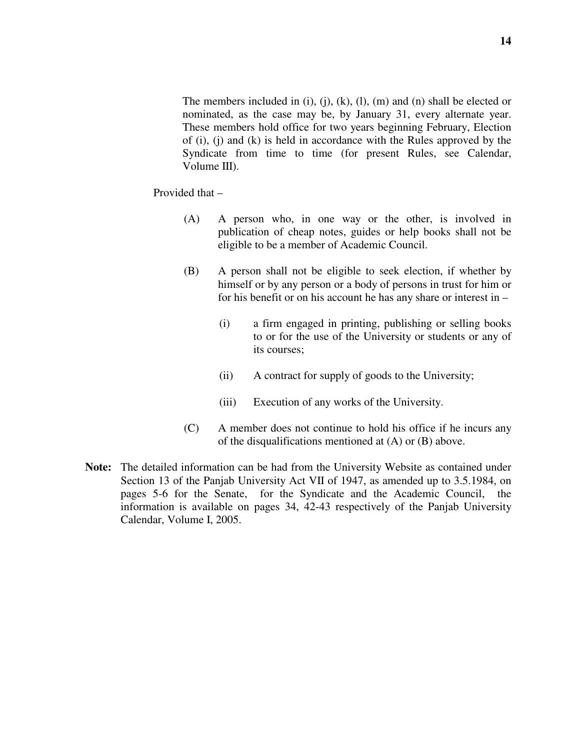The members included in  $(i)$ ,  $(j)$ ,  $(k)$ ,  $(l)$ ,  $(m)$  and  $(n)$  shall be elected or nominated, as the case may be, by January 31, every alternate year. These members hold office for two years beginning February, Election of (i), (j) and (k) is held in accordance with the Rules approved by the Syndicate from time to time (for present Rules, see Calendar, Volume III).

Provided that –

- (A) A person who, in one way or the other, is involved in publication of cheap notes, guides or help books shall not be eligible to be a member of Academic Council.
- (B) A person shall not be eligible to seek election, if whether by himself or by any person or a body of persons in trust for him or for his benefit or on his account he has any share or interest in –
	- (i) a firm engaged in printing, publishing or selling books to or for the use of the University or students or any of its courses;
	- (ii) A contract for supply of goods to the University;
	- (iii) Execution of any works of the University.
- (C) A member does not continue to hold his office if he incurs any of the disqualifications mentioned at (A) or (B) above.
- **Note:** The detailed information can be had from the University Website as contained under Section 13 of the Panjab University Act VII of 1947, as amended up to 3.5.1984, on pages 5-6 for the Senate, for the Syndicate and the Academic Council, the information is available on pages 34, 42-43 respectively of the Panjab University Calendar, Volume I, 2005.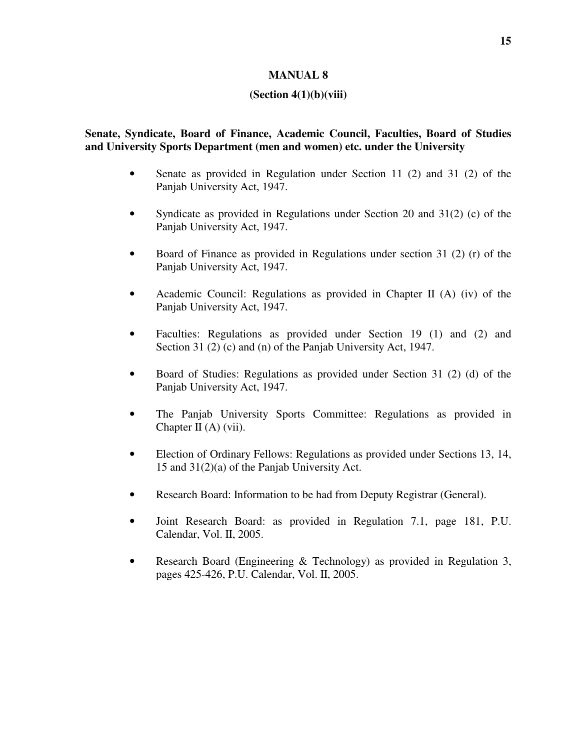# **(Section 4(1)(b)(viii)**

# **Senate, Syndicate, Board of Finance, Academic Council, Faculties, Board of Studies and University Sports Department (men and women) etc. under the University**

- Senate as provided in Regulation under Section 11 (2) and 31 (2) of the Panjab University Act, 1947.
- Syndicate as provided in Regulations under Section 20 and 31(2) (c) of the Panjab University Act, 1947.
- Board of Finance as provided in Regulations under section 31 (2) (r) of the Panjab University Act, 1947.
- Academic Council: Regulations as provided in Chapter II (A) (iv) of the Panjab University Act, 1947.
- Faculties: Regulations as provided under Section 19 (1) and (2) and Section 31 (2) (c) and (n) of the Panjab University Act, 1947.
- Board of Studies: Regulations as provided under Section 31 (2) (d) of the Panjab University Act, 1947.
- The Panjab University Sports Committee: Regulations as provided in Chapter II (A) (vii).
- Election of Ordinary Fellows: Regulations as provided under Sections 13, 14, 15 and 31(2)(a) of the Panjab University Act.
- Research Board: Information to be had from Deputy Registrar (General).
- Joint Research Board: as provided in Regulation 7.1, page 181, P.U. Calendar, Vol. II, 2005.
- Research Board (Engineering & Technology) as provided in Regulation 3, pages 425-426, P.U. Calendar, Vol. II, 2005.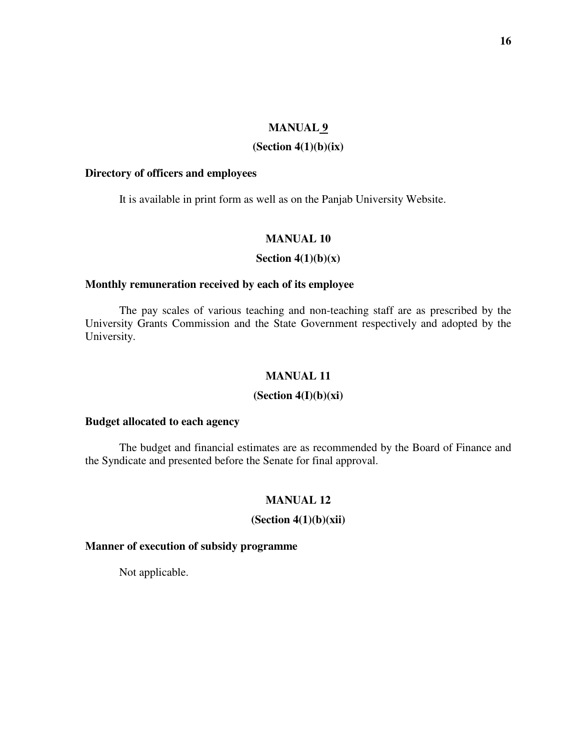# **(Section 4(1)(b)(ix)**

### **Directory of officers and employees**

It is available in print form as well as on the Panjab University Website.

# **MANUAL 10**

# **Section 4(1)(b)(x)**

# **Monthly remuneration received by each of its employee**

The pay scales of various teaching and non-teaching staff are as prescribed by the University Grants Commission and the State Government respectively and adopted by the University.

# **MANUAL 11**

### **(Section 4(I)(b)(xi)**

# **Budget allocated to each agency**

 The budget and financial estimates are as recommended by the Board of Finance and the Syndicate and presented before the Senate for final approval.

# **MANUAL 12**

# **(Section 4(1)(b)(xii)**

### **Manner of execution of subsidy programme**

Not applicable.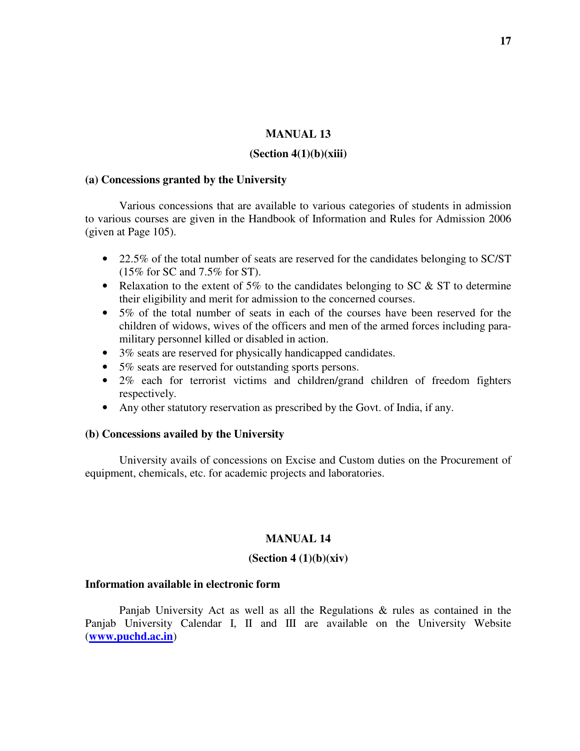#### **(Section 4(1)(b)(xiii)**

# **(a) Concessions granted by the University**

Various concessions that are available to various categories of students in admission to various courses are given in the Handbook of Information and Rules for Admission 2006 (given at Page 105).

- 22.5% of the total number of seats are reserved for the candidates belonging to SC/ST (15% for SC and 7.5% for ST).
- Relaxation to the extent of 5% to the candidates belonging to SC & ST to determine their eligibility and merit for admission to the concerned courses.
- 5% of the total number of seats in each of the courses have been reserved for the children of widows, wives of the officers and men of the armed forces including paramilitary personnel killed or disabled in action.
- 3% seats are reserved for physically handicapped candidates.
- 5% seats are reserved for outstanding sports persons.
- 2% each for terrorist victims and children/grand children of freedom fighters respectively.
- Any other statutory reservation as prescribed by the Govt. of India, if any.

# **(b) Concessions availed by the University**

 University avails of concessions on Excise and Custom duties on the Procurement of equipment, chemicals, etc. for academic projects and laboratories.

#### **MANUAL 14**

### **(Section 4 (1)(b)(xiv)**

# **Information available in electronic form**

Panjab University Act as well as all the Regulations & rules as contained in the Panjab University Calendar I, II and III are available on the University Website (**www.puchd.ac.in**)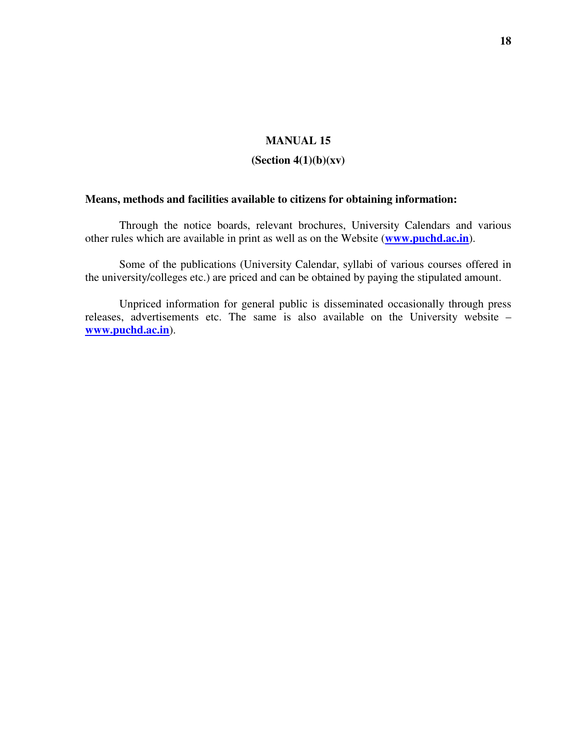# **(Section 4(1)(b)(xv)**

# **Means, methods and facilities available to citizens for obtaining information:**

Through the notice boards, relevant brochures, University Calendars and various other rules which are available in print as well as on the Website (**www.puchd.ac.in**).

Some of the publications (University Calendar, syllabi of various courses offered in the university/colleges etc.) are priced and can be obtained by paying the stipulated amount.

 Unpriced information for general public is disseminated occasionally through press releases, advertisements etc. The same is also available on the University website – **www.puchd.ac.in**).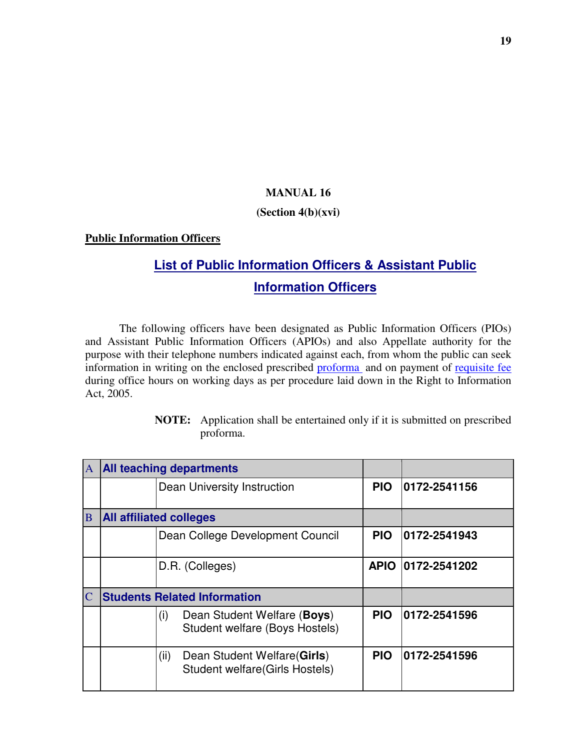# **(Section 4(b)(xvi)**

# **Public Information Officers**

# **List of Public Information Officers & Assistant Public Information Officers**

The following officers have been designated as Public Information Officers (PIOs) and Assistant Public Information Officers (APIOs) and also Appellate authority for the purpose with their telephone numbers indicated against each, from whom the public can seek information in writing on the enclosed prescribed proforma and on payment of requisite fee during office hours on working days as per procedure laid down in the Right to Information Act, 2005.

| <b>NOTE:</b> Application shall be entertained only if it is submitted on prescribed |
|-------------------------------------------------------------------------------------|
| proforma.                                                                           |

| $\mathbf{A}$ | <b>All teaching departments</b>     |                                                                               |             |              |
|--------------|-------------------------------------|-------------------------------------------------------------------------------|-------------|--------------|
|              |                                     | Dean University Instruction                                                   | <b>PIO</b>  | 0172-2541156 |
| B            | <b>All affiliated colleges</b>      |                                                                               |             |              |
|              |                                     | Dean College Development Council                                              | <b>PIO</b>  | 0172-2541943 |
|              |                                     | D.R. (Colleges)                                                               | <b>APIO</b> | 0172-2541202 |
|              | <b>Students Related Information</b> |                                                                               |             |              |
|              |                                     | Dean Student Welfare (Boys)<br>(i)<br>Student welfare (Boys Hostels)          | <b>PIO</b>  | 0172-2541596 |
|              |                                     | Dean Student Welfare(Girls)<br>(ii)<br><b>Student welfare (Girls Hostels)</b> | <b>PIO</b>  | 0172-2541596 |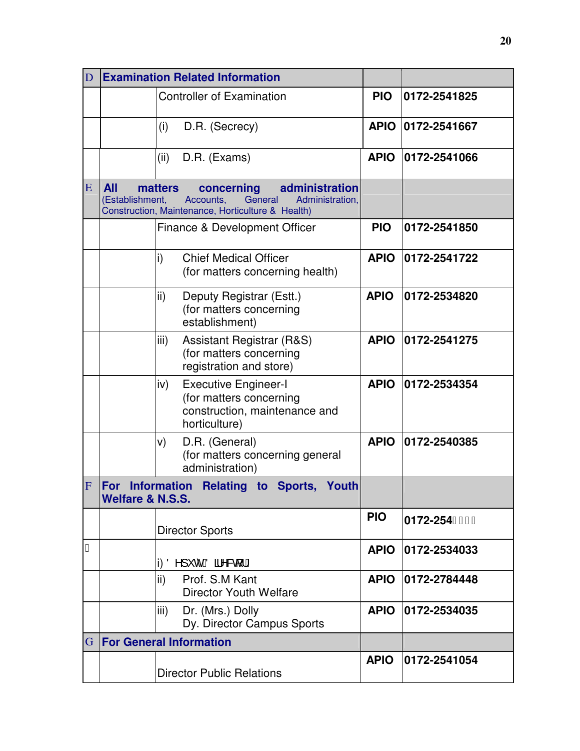| D  |                                                                                                                                                                          | <b>Examination Related Information</b>                                                                          |             |               |
|----|--------------------------------------------------------------------------------------------------------------------------------------------------------------------------|-----------------------------------------------------------------------------------------------------------------|-------------|---------------|
|    |                                                                                                                                                                          | <b>Controller of Examination</b>                                                                                | <b>PIO</b>  | 0172-2541825  |
|    |                                                                                                                                                                          | (i)<br>D.R. (Secrecy)                                                                                           | <b>APIO</b> | 0172-2541667  |
|    |                                                                                                                                                                          | D.R. (Exams)<br>(ii)                                                                                            | <b>APIO</b> | 0172-2541066  |
| E  | <b>All</b><br>administration<br>matters<br>concerning<br>(Establishment,<br>Accounts,<br>General<br>Administration,<br>Construction, Maintenance, Horticulture & Health) |                                                                                                                 |             |               |
|    |                                                                                                                                                                          | Finance & Development Officer                                                                                   | <b>PIO</b>  | 0172-2541850  |
|    |                                                                                                                                                                          | $\mathsf{i}$<br><b>Chief Medical Officer</b><br>(for matters concerning health)                                 | <b>APIO</b> | 0172-2541722  |
|    |                                                                                                                                                                          | $\mathsf{ii}$<br>Deputy Registrar (Estt.)<br>(for matters concerning<br>establishment)                          | <b>APIO</b> | 0172-2534820  |
|    |                                                                                                                                                                          | iii)<br><b>Assistant Registrar (R&amp;S)</b><br>(for matters concerning<br>registration and store)              | <b>APIO</b> | 0172-2541275  |
|    |                                                                                                                                                                          | iv)<br><b>Executive Engineer-I</b><br>(for matters concerning<br>construction, maintenance and<br>horticulture) | <b>APIO</b> | 0172-2534354  |
|    |                                                                                                                                                                          | V)<br>D.R. (General)<br>(for matters concerning general<br>administration)                                      | <b>APIO</b> | 0172-2540385  |
| F  | For<br>Information Relating to Sports, Youth<br><b>Welfare &amp; N.S.S.</b>                                                                                              |                                                                                                                 |             |               |
|    |                                                                                                                                                                          | <b>Director Sports</b>                                                                                          | <b>PIO</b>  | 0172-254%% (& |
| 11 |                                                                                                                                                                          | i) Ö^] č ÄÖã^&d ¦Á                                                                                              | <b>APIO</b> | 0172-2534033  |
|    |                                                                                                                                                                          | $\mathsf{ii}$<br>Prof. S.M Kant<br>Director Youth Welfare                                                       | <b>APIO</b> | 0172-2784448  |
|    |                                                                                                                                                                          | iii)<br>Dr. (Mrs.) Dolly<br>Dy. Director Campus Sports                                                          | <b>APIO</b> | 0172-2534035  |
| G  | <b>For General Information</b>                                                                                                                                           |                                                                                                                 |             |               |
|    |                                                                                                                                                                          | <b>Director Public Relations</b>                                                                                | <b>APIO</b> | 0172-2541054  |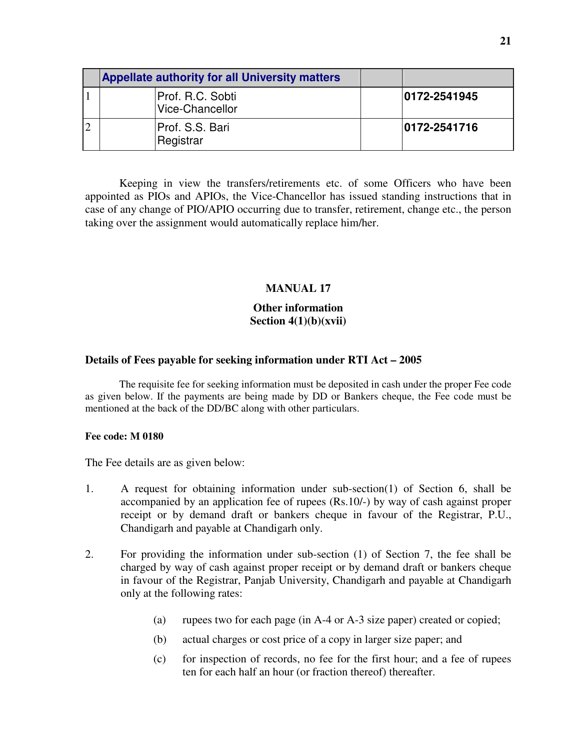| <b>Appellate authority for all University matters</b> |               |
|-------------------------------------------------------|---------------|
| Prof. R.C. Sobti<br>Vice-Chancellor                   | 10172-2541945 |
| Prof. S.S. Bari<br>Registrar                          | 10172-2541716 |

Keeping in view the transfers/retirements etc. of some Officers who have been appointed as PIOs and APIOs, the Vice-Chancellor has issued standing instructions that in case of any change of PIO/APIO occurring due to transfer, retirement, change etc., the person taking over the assignment would automatically replace him/her.

# **MANUAL 17**

# **Other information Section 4(1)(b)(xvii)**

# **Details of Fees payable for seeking information under RTI Act – 2005**

The requisite fee for seeking information must be deposited in cash under the proper Fee code as given below. If the payments are being made by DD or Bankers cheque, the Fee code must be mentioned at the back of the DD/BC along with other particulars.

# **Fee code: M 0180**

The Fee details are as given below:

- 1. A request for obtaining information under sub-section(1) of Section 6, shall be accompanied by an application fee of rupees (Rs.10/-) by way of cash against proper receipt or by demand draft or bankers cheque in favour of the Registrar, P.U., Chandigarh and payable at Chandigarh only.
- 2. For providing the information under sub-section (1) of Section 7, the fee shall be charged by way of cash against proper receipt or by demand draft or bankers cheque in favour of the Registrar, Panjab University, Chandigarh and payable at Chandigarh only at the following rates:
	- (a) rupees two for each page (in A-4 or A-3 size paper) created or copied;
	- (b) actual charges or cost price of a copy in larger size paper; and
	- (c) for inspection of records, no fee for the first hour; and a fee of rupees ten for each half an hour (or fraction thereof) thereafter.